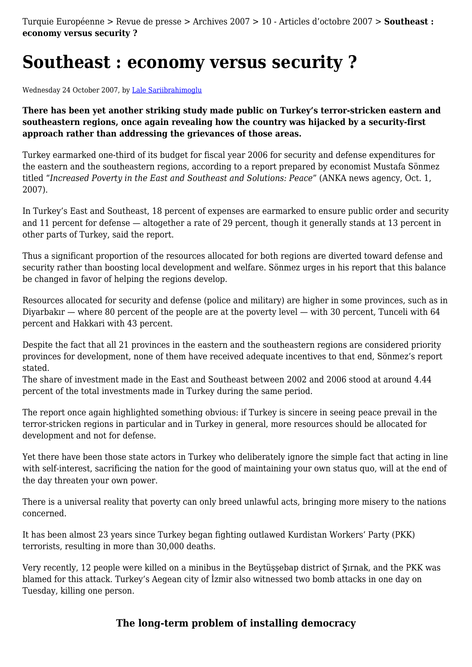Turquie Européenne > Revue de presse > Archives 2007 > 10 - Articles d'octobre 2007 > **Southeast : economy versus security ?**

## **Southeast : economy versus security ?**

Wednesday 24 October 2007, by [Lale Sariibrahimoglu](http://turquieeuropeenne.eu/_lale-sariibrahimoglu_.html)

**There has been yet another striking study made public on Turkey's terror-stricken eastern and southeastern regions, once again revealing how the country was hijacked by a security-first approach rather than addressing the grievances of those areas.**

Turkey earmarked one-third of its budget for fiscal year 2006 for security and defense expenditures for the eastern and the southeastern regions, according to a report prepared by economist Mustafa Sönmez titled "*Increased Poverty in the East and Southeast and Solutions: Peace*" (ANKA news agency, Oct. 1, 2007).

In Turkey's East and Southeast, 18 percent of expenses are earmarked to ensure public order and security and 11 percent for defense — altogether a rate of 29 percent, though it generally stands at 13 percent in other parts of Turkey, said the report.

Thus a significant proportion of the resources allocated for both regions are diverted toward defense and security rather than boosting local development and welfare. Sönmez urges in his report that this balance be changed in favor of helping the regions develop.

Resources allocated for security and defense (police and military) are higher in some provinces, such as in Diyarbakır — where 80 percent of the people are at the poverty level — with 30 percent, Tunceli with 64 percent and Hakkari with 43 percent.

Despite the fact that all 21 provinces in the eastern and the southeastern regions are considered priority provinces for development, none of them have received adequate incentives to that end, Sönmez's report stated.

The share of investment made in the East and Southeast between 2002 and 2006 stood at around 4.44 percent of the total investments made in Turkey during the same period.

The report once again highlighted something obvious: if Turkey is sincere in seeing peace prevail in the terror-stricken regions in particular and in Turkey in general, more resources should be allocated for development and not for defense.

Yet there have been those state actors in Turkey who deliberately ignore the simple fact that acting in line with self-interest, sacrificing the nation for the good of maintaining your own status quo, will at the end of the day threaten your own power.

There is a universal reality that poverty can only breed unlawful acts, bringing more misery to the nations concerned.

It has been almost 23 years since Turkey began fighting outlawed Kurdistan Workers' Party (PKK) terrorists, resulting in more than 30,000 deaths.

Very recently, 12 people were killed on a minibus in the Beytüşşebap district of Şırnak, and the PKK was blamed for this attack. Turkey's Aegean city of İzmir also witnessed two bomb attacks in one day on Tuesday, killing one person.

## **The long-term problem of installing democracy**